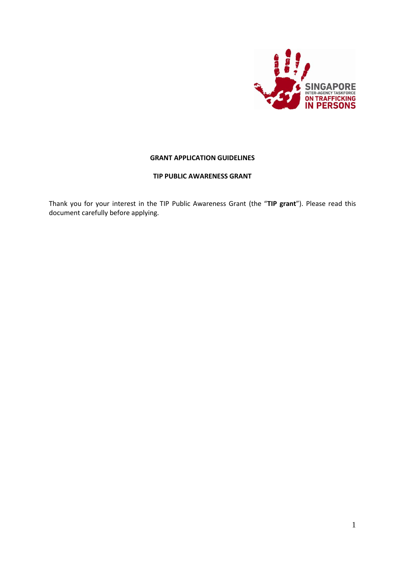

## **GRANT APPLICATION GUIDELINES**

## **TIP PUBLIC AWARENESS GRANT**

Thank you for your interest in the TIP Public Awareness Grant (the "**TIP grant**"). Please read this document carefully before applying.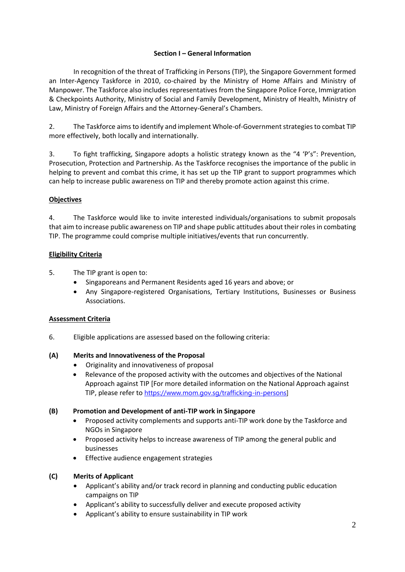# **Section I – General Information**

In recognition of the threat of Trafficking in Persons (TIP), the Singapore Government formed an Inter-Agency Taskforce in 2010, co-chaired by the Ministry of Home Affairs and Ministry of Manpower. The Taskforce also includes representatives from the Singapore Police Force, Immigration & Checkpoints Authority, Ministry of Social and Family Development, Ministry of Health, Ministry of Law, Ministry of Foreign Affairs and the Attorney-General's Chambers.

2. The Taskforce aims to identify and implement Whole-of-Government strategies to combat TIP more effectively, both locally and internationally.

3. To fight trafficking, Singapore adopts a holistic strategy known as the "4 'P's": Prevention, Prosecution, Protection and Partnership. As the Taskforce recognises the importance of the public in helping to prevent and combat this crime, it has set up the TIP grant to support programmes which can help to increase public awareness on TIP and thereby promote action against this crime.

## **Objectives**

4. The Taskforce would like to invite interested individuals/organisations to submit proposals that aim to increase public awareness on TIP and shape public attitudes about their roles in combating TIP. The programme could comprise multiple initiatives/events that run concurrently.

# **Eligibility Criteria**

5. The TIP grant is open to:

- Singaporeans and Permanent Residents aged 16 years and above; or
- Any Singapore-registered Organisations, Tertiary Institutions, Businesses or Business Associations.

## **Assessment Criteria**

6. Eligible applications are assessed based on the following criteria:

## **(A) Merits and Innovativeness of the Proposal**

- Originality and innovativeness of proposal
- Relevance of the proposed activity with the outcomes and objectives of the National Approach against TIP [For more detailed information on the National Approach against TIP, please refer to [https://www.mom.gov.sg/trafficking-in-persons\]](https://www.mom.gov.sg/trafficking-in-persons)

## **(B) Promotion and Development of anti-TIP work in Singapore**

- Proposed activity complements and supports anti-TIP work done by the Taskforce and NGOs in Singapore
- Proposed activity helps to increase awareness of TIP among the general public and businesses
- Effective audience engagement strategies

# **(C) Merits of Applicant**

- Applicant's ability and/or track record in planning and conducting public education campaigns on TIP
- Applicant's ability to successfully deliver and execute proposed activity
- Applicant's ability to ensure sustainability in TIP work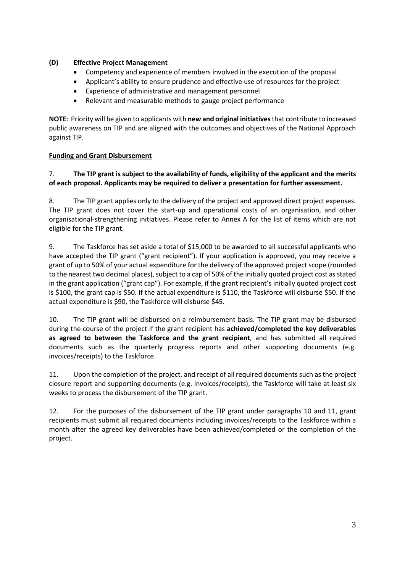# **(D) Effective Project Management**

- Competency and experience of members involved in the execution of the proposal
- Applicant's ability to ensure prudence and effective use of resources for the project
- Experience of administrative and management personnel
- Relevant and measurable methods to gauge project performance

**NOTE**: Priority will be given to applicants with **new and original initiatives** that contribute to increased public awareness on TIP and are aligned with the outcomes and objectives of the National Approach against TIP.

# **Funding and Grant Disbursement**

# 7. **The TIP grant is subject to the availability of funds, eligibility of the applicant and the merits of each proposal. Applicants may be required to deliver a presentation for further assessment.**

8. The TIP grant applies only to the delivery of the project and approved direct project expenses. The TIP grant does not cover the start-up and operational costs of an organisation, and other organisational-strengthening initiatives. Please refer to Annex A for the list of items which are not eligible for the TIP grant.

9. The Taskforce has set aside a total of \$15,000 to be awarded to all successful applicants who have accepted the TIP grant ("grant recipient"). If your application is approved, you may receive a grant of up to 50% of your actual expenditure for the delivery of the approved project scope (rounded to the nearest two decimal places), subject to a cap of 50% of the initially quoted project cost as stated in the grant application ("grant cap"). For example, if the grant recipient's initially quoted project cost is \$100, the grant cap is \$50. If the actual expenditure is \$110, the Taskforce will disburse \$50. If the actual expenditure is \$90, the Taskforce will disburse \$45.

10. The TIP grant will be disbursed on a reimbursement basis. The TIP grant may be disbursed during the course of the project if the grant recipient has **achieved/completed the key deliverables as agreed to between the Taskforce and the grant recipient**, and has submitted all required documents such as the quarterly progress reports and other supporting documents (e.g. invoices/receipts) to the Taskforce.

11. Upon the completion of the project, and receipt of all required documents such as the project closure report and supporting documents (e.g. invoices/receipts), the Taskforce will take at least six weeks to process the disbursement of the TIP grant.

12. For the purposes of the disbursement of the TIP grant under paragraphs 10 and 11, grant recipients must submit all required documents including invoices/receipts to the Taskforce within a month after the agreed key deliverables have been achieved/completed or the completion of the project.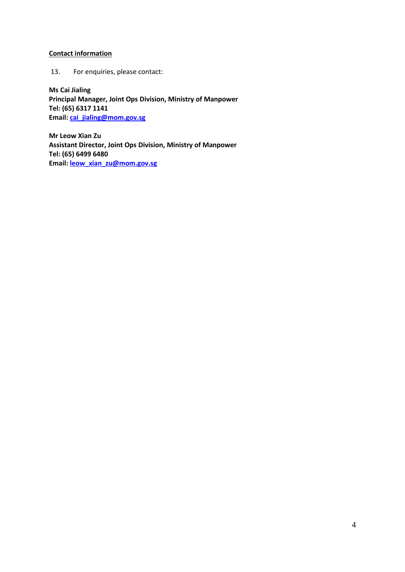# **Contact information**

13. For enquiries, please contact:

**Ms Cai Jialing Principal Manager, Joint Ops Division, Ministry of Manpower Tel: (65) 6317 1141 Email: cai\_jialing@mom.gov.sg**

**Mr Leow Xian Zu Assistant Director, Joint Ops Division, Ministry of Manpower Tel: (65) 6499 6480 Email[: leow\\_xian\\_zu@mom.gov.sg](mailto:leow_xian_zu@mom.gov.sg)**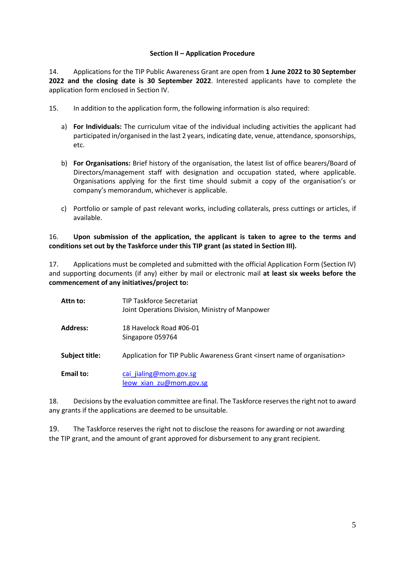### **Section II – Application Procedure**

14. Applications for the TIP Public Awareness Grant are open from **1 June 2022 to 30 September 2022 and the closing date is 30 September 2022**. Interested applicants have to complete the application form enclosed in Section IV.

- 15. In addition to the application form, the following information is also required:
	- a) **For Individuals:** The curriculum vitae of the individual including activities the applicant had participated in/organised in the last 2 years, indicating date, venue, attendance, sponsorships, etc.
	- b) **For Organisations:** Brief history of the organisation, the latest list of office bearers/Board of Directors/management staff with designation and occupation stated, where applicable. Organisations applying for the first time should submit a copy of the organisation's or company's memorandum, whichever is applicable.
	- c) Portfolio or sample of past relevant works, including collaterals, press cuttings or articles, if available.

## 16. **Upon submission of the application, the applicant is taken to agree to the terms and conditions set out by the Taskforce under this TIP grant (as stated in Section III).**

17. Applications must be completed and submitted with the official Application Form (Section IV) and supporting documents (if any) either by mail or electronic mail **at least six weeks before the commencement of any initiatives/project to:**

| Attn to:         | <b>TIP Taskforce Secretariat</b><br>Joint Operations Division, Ministry of Manpower        |
|------------------|--------------------------------------------------------------------------------------------|
| <b>Address:</b>  | 18 Havelock Road #06-01<br>Singapore 059764                                                |
| Subject title:   | Application for TIP Public Awareness Grant <insert name="" of="" organisation=""></insert> |
| <b>Email to:</b> | cai jialing@mom.gov.sg<br>leow xian zu@mom.gov.sg                                          |

18. Decisions by the evaluation committee are final. The Taskforce reserves the right not to award any grants if the applications are deemed to be unsuitable.

19. The Taskforce reserves the right not to disclose the reasons for awarding or not awarding the TIP grant, and the amount of grant approved for disbursement to any grant recipient.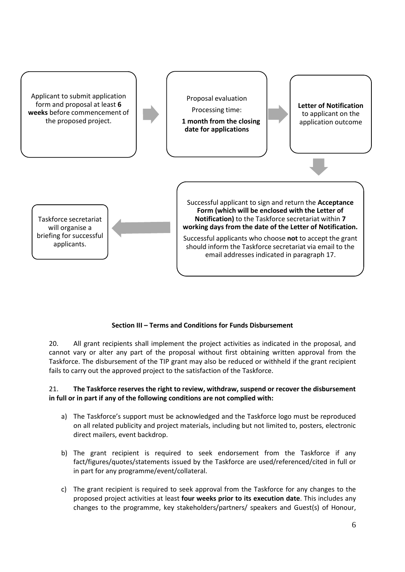

# **Section III – Terms and Conditions for Funds Disbursement**

20. All grant recipients shall implement the project activities as indicated in the proposal, and cannot vary or alter any part of the proposal without first obtaining written approval from the Taskforce. The disbursement of the TIP grant may also be reduced or withheld if the grant recipient fails to carry out the approved project to the satisfaction of the Taskforce.

### 21. **The Taskforce reserves the right to review, withdraw, suspend or recover the disbursement in full or in part if any of the following conditions are not complied with:**

- a) The Taskforce's support must be acknowledged and the Taskforce logo must be reproduced on all related publicity and project materials, including but not limited to, posters, electronic direct mailers, event backdrop.
- b) The grant recipient is required to seek endorsement from the Taskforce if any fact/figures/quotes/statements issued by the Taskforce are used/referenced/cited in full or in part for any programme/event/collateral.
- c) The grant recipient is required to seek approval from the Taskforce for any changes to the proposed project activities at least **four weeks prior to its execution date**. This includes any changes to the programme, key stakeholders/partners/ speakers and Guest(s) of Honour,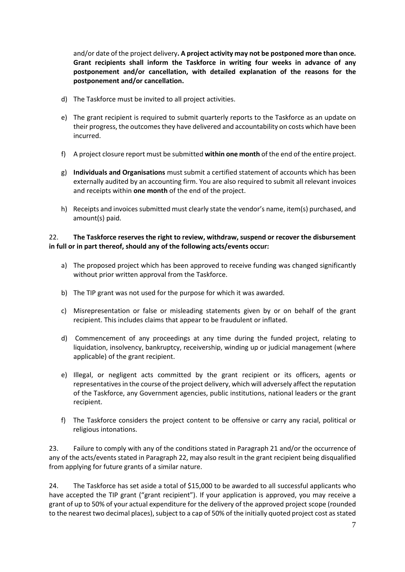and/or date of the project delivery**. A project activity may not be postponed more than once. Grant recipients shall inform the Taskforce in writing four weeks in advance of any postponement and/or cancellation, with detailed explanation of the reasons for the postponement and/or cancellation.**

- d) The Taskforce must be invited to all project activities.
- e) The grant recipient is required to submit quarterly reports to the Taskforce as an update on their progress, the outcomes they have delivered and accountability on costs which have been incurred.
- f) A project closure report must be submitted **within one month** of the end of the entire project.
- g) **Individuals and Organisations** must submit a certified statement of accounts which has been externally audited by an accounting firm. You are also required to submit all relevant invoices and receipts within **one month** of the end of the project.
- h) Receipts and invoices submitted must clearly state the vendor's name, item(s) purchased, and amount(s) paid.

## 22. **The Taskforce reserves the right to review, withdraw, suspend or recover the disbursement in full or in part thereof, should any of the following acts/events occur:**

- a) The proposed project which has been approved to receive funding was changed significantly without prior written approval from the Taskforce.
- b) The TIP grant was not used for the purpose for which it was awarded.
- c) Misrepresentation or false or misleading statements given by or on behalf of the grant recipient. This includes claims that appear to be fraudulent or inflated.
- d) Commencement of any proceedings at any time during the funded project, relating to liquidation, insolvency, bankruptcy, receivership, winding up or judicial management (where applicable) of the grant recipient.
- e) Illegal, or negligent acts committed by the grant recipient or its officers, agents or representatives in the course of the project delivery, which will adversely affect the reputation of the Taskforce, any Government agencies, public institutions, national leaders or the grant recipient.
- f) The Taskforce considers the project content to be offensive or carry any racial, political or religious intonations.

23. Failure to comply with any of the conditions stated in Paragraph 21 and/or the occurrence of any of the acts/events stated in Paragraph 22, may also result in the grant recipient being disqualified from applying for future grants of a similar nature.

24. The Taskforce has set aside a total of \$15,000 to be awarded to all successful applicants who have accepted the TIP grant ("grant recipient"). If your application is approved, you may receive a grant of up to 50% of your actual expenditure for the delivery of the approved project scope (rounded to the nearest two decimal places), subject to a cap of 50% of the initially quoted project cost as stated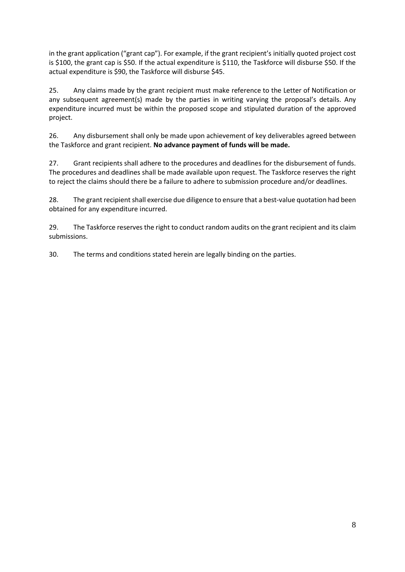in the grant application ("grant cap"). For example, if the grant recipient's initially quoted project cost is \$100, the grant cap is \$50. If the actual expenditure is \$110, the Taskforce will disburse \$50. If the actual expenditure is \$90, the Taskforce will disburse \$45.

25. Any claims made by the grant recipient must make reference to the Letter of Notification or any subsequent agreement(s) made by the parties in writing varying the proposal's details. Any expenditure incurred must be within the proposed scope and stipulated duration of the approved project.

26. Any disbursement shall only be made upon achievement of key deliverables agreed between the Taskforce and grant recipient. **No advance payment of funds will be made.**

27. Grant recipients shall adhere to the procedures and deadlines for the disbursement of funds. The procedures and deadlines shall be made available upon request. The Taskforce reserves the right to reject the claims should there be a failure to adhere to submission procedure and/or deadlines.

28. The grant recipient shall exercise due diligence to ensure that a best-value quotation had been obtained for any expenditure incurred.

29. The Taskforce reserves the right to conduct random audits on the grant recipient and its claim submissions.

30. The terms and conditions stated herein are legally binding on the parties.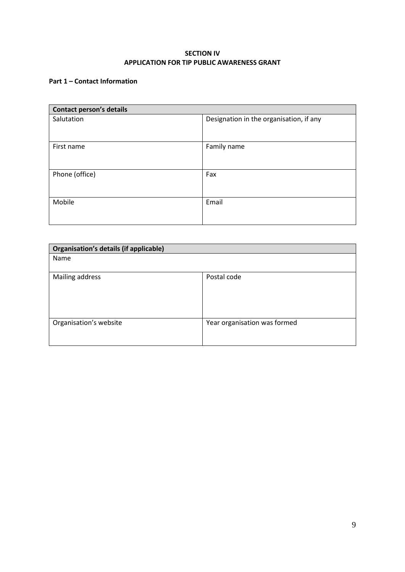### **SECTION IV APPLICATION FOR TIP PUBLIC AWARENESS GRANT**

## **Part 1 – Contact Information**

| <b>Contact person's details</b> |                                         |  |
|---------------------------------|-----------------------------------------|--|
| Salutation                      | Designation in the organisation, if any |  |
| First name                      | Family name                             |  |
| Phone (office)                  | Fax                                     |  |
| Mobile                          | Email                                   |  |

| Organisation's details (if applicable) |                              |  |
|----------------------------------------|------------------------------|--|
| Name                                   |                              |  |
|                                        |                              |  |
| Mailing address                        | Postal code                  |  |
|                                        |                              |  |
|                                        |                              |  |
|                                        |                              |  |
|                                        |                              |  |
| Organisation's website                 | Year organisation was formed |  |
|                                        |                              |  |
|                                        |                              |  |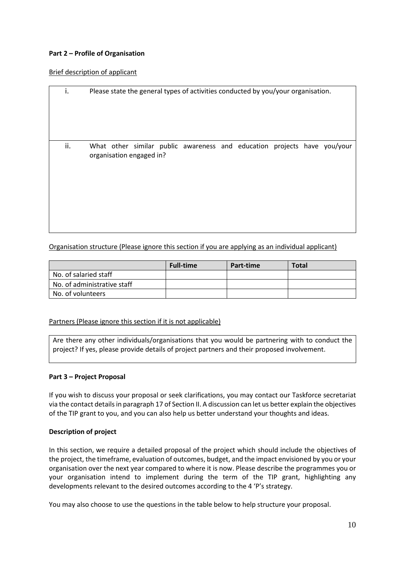### **Part 2 – Profile of Organisation**

### Brief description of applicant

| i.  | Please state the general types of activities conducted by you/your organisation.                     |
|-----|------------------------------------------------------------------------------------------------------|
| ii. | What other similar public awareness and education projects have you/your<br>organisation engaged in? |

Organisation structure (Please ignore this section if you are applying as an individual applicant)

|                             | <b>Full-time</b> | Part-time | <b>Total</b> |
|-----------------------------|------------------|-----------|--------------|
| No. of salaried staff       |                  |           |              |
| No. of administrative staff |                  |           |              |
| No. of volunteers           |                  |           |              |

### Partners (Please ignore this section if it is not applicable)

Are there any other individuals/organisations that you would be partnering with to conduct the project? If yes, please provide details of project partners and their proposed involvement.

### **Part 3 – Project Proposal**

If you wish to discuss your proposal or seek clarifications, you may contact our Taskforce secretariat via the contact details in paragraph 17 of Section II. A discussion can let us better explain the objectives of the TIP grant to you, and you can also help us better understand your thoughts and ideas.

### **Description of project**

In this section, we require a detailed proposal of the project which should include the objectives of the project, the timeframe, evaluation of outcomes, budget, and the impact envisioned by you or your organisation over the next year compared to where it is now. Please describe the programmes you or your organisation intend to implement during the term of the TIP grant, highlighting any developments relevant to the desired outcomes according to the 4 'P's strategy.

You may also choose to use the questions in the table below to help structure your proposal.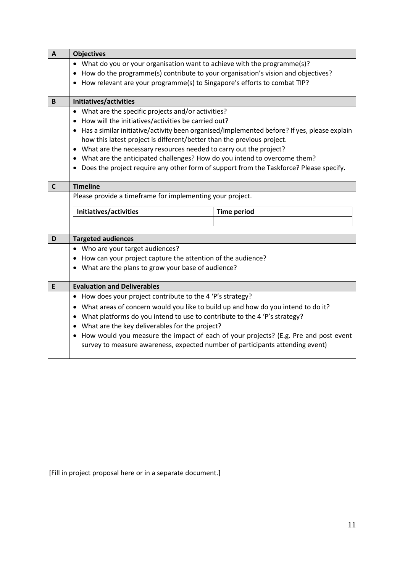| $\mathbf{A}$ | <b>Objectives</b>                                                                             |                                                                                        |  |
|--------------|-----------------------------------------------------------------------------------------------|----------------------------------------------------------------------------------------|--|
|              | • What do you or your organisation want to achieve with the programme(s)?                     |                                                                                        |  |
|              | How do the programme(s) contribute to your organisation's vision and objectives?<br>٠         |                                                                                        |  |
|              | How relevant are your programme(s) to Singapore's efforts to combat TIP?                      |                                                                                        |  |
| B            | Initiatives/activities                                                                        |                                                                                        |  |
|              | What are the specific projects and/or activities?                                             |                                                                                        |  |
|              | How will the initiatives/activities be carried out?<br>$\bullet$                              |                                                                                        |  |
|              | Has a similar initiative/activity been organised/implemented before? If yes, please explain   |                                                                                        |  |
|              | how this latest project is different/better than the previous project.                        |                                                                                        |  |
|              | What are the necessary resources needed to carry out the project?<br>$\bullet$                |                                                                                        |  |
|              | • What are the anticipated challenges? How do you intend to overcome them?                    |                                                                                        |  |
|              |                                                                                               | Does the project require any other form of support from the Taskforce? Please specify. |  |
| $\mathsf{C}$ | <b>Timeline</b>                                                                               |                                                                                        |  |
|              | Please provide a timeframe for implementing your project.                                     |                                                                                        |  |
|              | Initiatives/activities<br><b>Time period</b>                                                  |                                                                                        |  |
|              |                                                                                               |                                                                                        |  |
|              |                                                                                               |                                                                                        |  |
| D            | <b>Targeted audiences</b>                                                                     |                                                                                        |  |
|              | • Who are your target audiences?                                                              |                                                                                        |  |
|              | How can your project capture the attention of the audience?                                   |                                                                                        |  |
|              | What are the plans to grow your base of audience?                                             |                                                                                        |  |
| E            | <b>Evaluation and Deliverables</b>                                                            |                                                                                        |  |
|              | How does your project contribute to the 4 'P's strategy?<br>٠                                 |                                                                                        |  |
|              | What areas of concern would you like to build up and how do you intend to do it?<br>$\bullet$ |                                                                                        |  |
|              |                                                                                               |                                                                                        |  |
|              | What platforms do you intend to use to contribute to the 4 'P's strategy?<br>٠                |                                                                                        |  |
|              | What are the key deliverables for the project?<br>$\bullet$                                   |                                                                                        |  |
|              | ٠                                                                                             | How would you measure the impact of each of your projects? (E.g. Pre and post event    |  |
|              | survey to measure awareness, expected number of participants attending event)                 |                                                                                        |  |

[Fill in project proposal here or in a separate document.]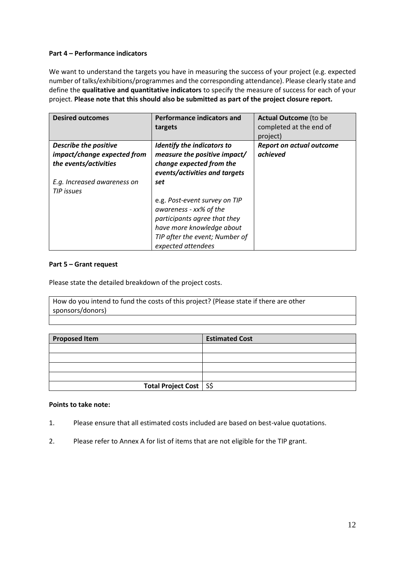### **Part 4 – Performance indicators**

We want to understand the targets you have in measuring the success of your project (e.g. expected number of talks/exhibitions/programmes and the corresponding attendance). Please clearly state and define the **qualitative and quantitative indicators** to specify the measure of success for each of your project. **Please note that this should also be submitted as part of the project closure report.** 

| <b>Desired outcomes</b>                                                              | <b>Performance indicators and</b><br>targets                                                                                                                                 | <b>Actual Outcome</b> (to be<br>completed at the end of<br>project) |
|--------------------------------------------------------------------------------------|------------------------------------------------------------------------------------------------------------------------------------------------------------------------------|---------------------------------------------------------------------|
| <b>Describe the positive</b><br>impact/change expected from<br>the events/activities | <b>Identify the indicators to</b><br>measure the positive impact/<br>change expected from the<br>events/activities and targets                                               | <b>Report on actual outcome</b><br>achieved                         |
| E.g. Increased awareness on<br>TIP issues                                            | set                                                                                                                                                                          |                                                                     |
|                                                                                      | e.g. Post-event survey on TIP<br>awareness - xx% of the<br>participants agree that they<br>have more knowledge about<br>TIP after the event; Number of<br>expected attendees |                                                                     |

### **Part 5 – Grant request**

Please state the detailed breakdown of the project costs.

How do you intend to fund the costs of this project? (Please state if there are other sponsors/donors)

| <b>Proposed Item</b>     | <b>Estimated Cost</b> |
|--------------------------|-----------------------|
|                          |                       |
|                          |                       |
|                          |                       |
|                          |                       |
| Total Project Cost   S\$ |                       |

### **Points to take note:**

- 1. Please ensure that all estimated costs included are based on best-value quotations.
- 2. Please refer to Annex A for list of items that are not eligible for the TIP grant.